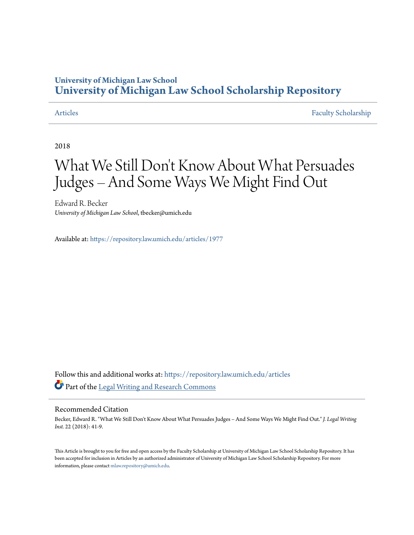# **University of Michigan Law School [University of Michigan Law School Scholarship Repository](https://repository.law.umich.edu?utm_source=repository.law.umich.edu%2Farticles%2F1977&utm_medium=PDF&utm_campaign=PDFCoverPages)**

[Articles](https://repository.law.umich.edu/articles?utm_source=repository.law.umich.edu%2Farticles%2F1977&utm_medium=PDF&utm_campaign=PDFCoverPages) [Faculty Scholarship](https://repository.law.umich.edu/faculty_scholarship?utm_source=repository.law.umich.edu%2Farticles%2F1977&utm_medium=PDF&utm_campaign=PDFCoverPages)

2018

# What We Still Don 't Know About What Persuades Judges – And Some Ways We Might Find Out

Edward R. Becker *University of Michigan Law School*, tbecker@umich.edu

Available at: <https://repository.law.umich.edu/articles/1977>

Follow this and additional works at: [https://repository.law.umich.edu/articles](https://repository.law.umich.edu/articles?utm_source=repository.law.umich.edu%2Farticles%2F1977&utm_medium=PDF&utm_campaign=PDFCoverPages) Part of the [Legal Writing and Research Commons](http://network.bepress.com/hgg/discipline/614?utm_source=repository.law.umich.edu%2Farticles%2F1977&utm_medium=PDF&utm_campaign=PDFCoverPages)

#### Recommended Citation

Becker, Edward R. "What We Still Don't Know About What Persuades Judges – And Some Ways We Might Find Out." *J. Legal Writing Inst.* 22 (2018): 41-9.

This Article is brought to you for free and open access by the Faculty Scholarship at University of Michigan Law School Scholarship Repository. It has been accepted for inclusion in Articles by an authorized administrator of University of Michigan Law School Scholarship Repository. For more information, please contact [mlaw.repository@umich.edu.](mailto:mlaw.repository@umich.edu)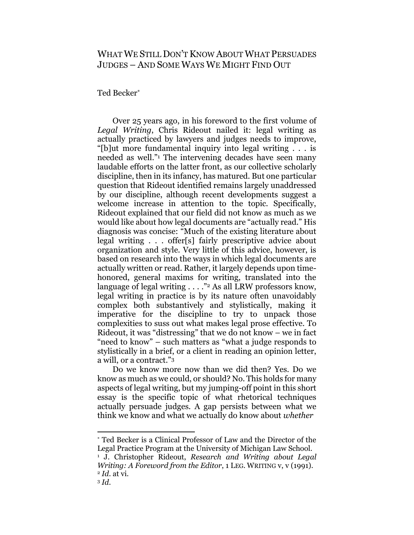## WHAT WE STILL DON'T KNOW ABOUT WHAT PERSUADES JUDGES – AND SOME WAYS WE MIGHT FIND OUT

Ted Becker\*

Over 25 years ago, in his foreword to the first volume of *Legal Writing*, Chris Rideout nailed it: legal writing as actually practiced by lawyers and judges needs to improve, "[b]ut more fundamental inquiry into legal writing . . . is needed as well."<sup>1</sup> The intervening decades have seen many laudable efforts on the latter front, as our collective scholarly discipline, then in its infancy, has matured. But one particular question that Rideout identified remains largely unaddressed by our discipline, although recent developments suggest a welcome increase in attention to the topic. Specifically, Rideout explained that our field did not know as much as we would like about how legal documents are "actually read." His diagnosis was concise: "Much of the existing literature about legal writing . . . offer[s] fairly prescriptive advice about organization and style. Very little of this advice, however, is based on research into the ways in which legal documents are actually written or read. Rather, it largely depends upon timehonored, general maxims for writing, translated into the language of legal writing  $\ldots$ ."<sup>2</sup> As all LRW professors know, legal writing in practice is by its nature often unavoidably complex both substantively and stylistically, making it imperative for the discipline to try to unpack those complexities to suss out what makes legal prose effective. To Rideout, it was "distressing" that we do not know – we in fact "need to know" – such matters as "what a judge responds to stylistically in a brief, or a client in reading an opinion letter, a will, or a contract."<sup>3</sup>

Do we know more now than we did then? Yes. Do we know as much as we could, or should? No. This holds for many aspects of legal writing, but my jumping-off point in this short essay is the specific topic of what rhetorical techniques actually persuade judges. A gap persists between what we think we know and what we actually do know about *whether*

\* Ted Becker is a Clinical Professor of Law and the Director of the Legal Practice Program at the University of Michigan Law School.

<sup>1</sup> J. Christopher Rideout, *Research and Writing about Legal Writing: A Foreword from the Editor*, 1 LEG. WRITING v, v (1991). <sup>2</sup> *Id.* at vi.

<sup>3</sup> *Id.*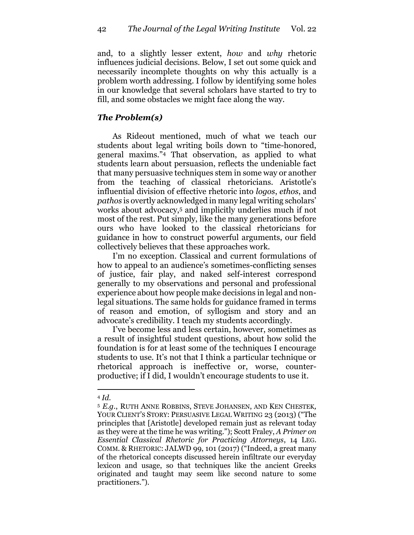and, to a slightly lesser extent, *how* and *why* rhetoric influences judicial decisions. Below, I set out some quick and necessarily incomplete thoughts on why this actually is a problem worth addressing. I follow by identifying some holes in our knowledge that several scholars have started to try to fill, and some obstacles we might face along the way.

#### *The Problem(s)*

As Rideout mentioned, much of what we teach our students about legal writing boils down to "time-honored, general maxims."<sup>4</sup> That observation, as applied to what students learn about persuasion, reflects the undeniable fact that many persuasive techniques stem in some way or another from the teaching of classical rhetoricians. Aristotle's influential division of effective rhetoric into *logos*, *ethos*, and *pathos* is overtly acknowledged in many legal writing scholars' works about advocacy,<sup>5</sup> and implicitly underlies much if not most of the rest. Put simply, like the many generations before ours who have looked to the classical rhetoricians for guidance in how to construct powerful arguments, our field collectively believes that these approaches work.

I'm no exception. Classical and current formulations of how to appeal to an audience's sometimes-conflicting senses of justice, fair play, and naked self-interest correspond generally to my observations and personal and professional experience about how people make decisions in legal and nonlegal situations. The same holds for guidance framed in terms of reason and emotion, of syllogism and story and an advocate's credibility. I teach my students accordingly.

I've become less and less certain, however, sometimes as a result of insightful student questions, about how solid the foundation is for at least some of the techniques I encourage students to use. It's not that I think a particular technique or rhetorical approach is ineffective or, worse, counterproductive; if I did, I wouldn't encourage students to use it.

<sup>4</sup> *Id.*

<sup>5</sup> *E.g.*, RUTH ANNE ROBBINS, STEVE JOHANSEN, AND KEN CHESTEK*,* YOUR CLIENT'S STORY: PERSUASIVE LEGAL WRITING 23 (2013) ("The principles that [Aristotle] developed remain just as relevant today as they were at the time he was writing."); Scott Fraley, *A Primer on Essential Classical Rhetoric for Practicing Attorneys*, 14 LEG. COMM. & RHETORIC: JALWD 99, 101 (2017) ("Indeed, a great many of the rhetorical concepts discussed herein infiltrate our everyday lexicon and usage, so that techniques like the ancient Greeks originated and taught may seem like second nature to some practitioners.").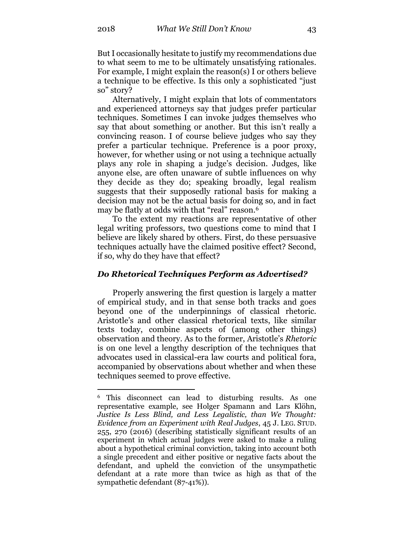But I occasionally hesitate to justify my recommendations due to what seem to me to be ultimately unsatisfying rationales. For example, I might explain the reason(s) I or others believe a technique to be effective. Is this only a sophisticated "just so" story?

Alternatively, I might explain that lots of commentators and experienced attorneys say that judges prefer particular techniques. Sometimes I can invoke judges themselves who say that about something or another. But this isn't really a convincing reason. I of course believe judges who say they prefer a particular technique. Preference is a poor proxy, however, for whether using or not using a technique actually plays any role in shaping a judge's decision. Judges, like anyone else, are often unaware of subtle influences on why they decide as they do; speaking broadly, legal realism suggests that their supposedly rational basis for making a decision may not be the actual basis for doing so, and in fact may be flatly at odds with that "real" reason.<sup>6</sup>

To the extent my reactions are representative of other legal writing professors, two questions come to mind that I believe are likely shared by others. First, do these persuasive techniques actually have the claimed positive effect? Second, if so, why do they have that effect?

#### *Do Rhetorical Techniques Perform as Advertised?*

Properly answering the first question is largely a matter of empirical study, and in that sense both tracks and goes beyond one of the underpinnings of classical rhetoric. Aristotle's and other classical rhetorical texts, like similar texts today, combine aspects of (among other things) observation and theory. As to the former, Aristotle's *Rhetoric* is on one level a lengthy description of the techniques that advocates used in classical-era law courts and political fora, accompanied by observations about whether and when these techniques seemed to prove effective.

<sup>6</sup> This disconnect can lead to disturbing results. As one representative example, see Holger Spamann and Lars Klöhn, *Justice Is Less Blind, and Less Legalistic, than We Thought: Evidence from an Experiment with Real Judges*, 45 J. LEG. STUD. 255, 270 (2016) (describing statistically significant results of an experiment in which actual judges were asked to make a ruling about a hypothetical criminal conviction, taking into account both a single precedent and either positive or negative facts about the defendant, and upheld the conviction of the unsympathetic defendant at a rate more than twice as high as that of the sympathetic defendant (87-41%)).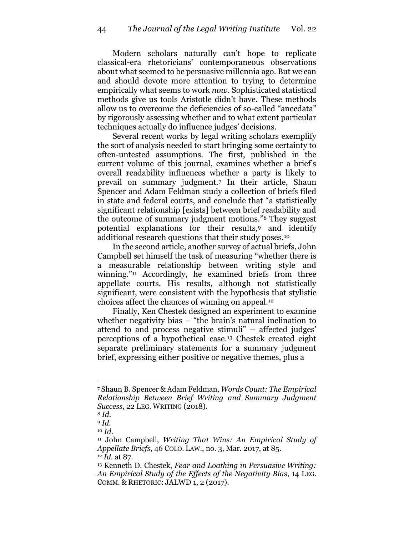Modern scholars naturally can't hope to replicate classical-era rhetoricians' contemporaneous observations about what seemed to be persuasive millennia ago. But we can and should devote more attention to trying to determine empirically what seems to work *now*. Sophisticated statistical methods give us tools Aristotle didn't have. These methods allow us to overcome the deficiencies of so-called "anecdata" by rigorously assessing whether and to what extent particular techniques actually do influence judges' decisions.

Several recent works by legal writing scholars exemplify the sort of analysis needed to start bringing some certainty to often-untested assumptions. The first, published in the current volume of this journal, examines whether a brief's overall readability influences whether a party is likely to prevail on summary judgment.<sup>7</sup> In their article, Shaun Spencer and Adam Feldman study a collection of briefs filed in state and federal courts, and conclude that "a statistically significant relationship [exists] between brief readability and the outcome of summary judgment motions."<sup>8</sup> They suggest potential explanations for their results,<sup>9</sup> and identify additional research questions that their study poses.<sup>10</sup>

In the second article, another survey of actual briefs, John Campbell set himself the task of measuring "whether there is a measurable relationship between writing style and winning."<sup>11</sup> Accordingly, he examined briefs from three appellate courts. His results, although not statistically significant, were consistent with the hypothesis that stylistic choices affect the chances of winning on appeal.<sup>12</sup>

Finally, Ken Chestek designed an experiment to examine whether negativity bias – "the brain's natural inclination to attend to and process negative stimuli" – affected judges' perceptions of a hypothetical case.<sup>13</sup> Chestek created eight separate preliminary statements for a summary judgment brief, expressing either positive or negative themes, plus a

<sup>7</sup> Shaun B. Spencer & Adam Feldman, *Words Count: The Empirical Relationship Between Brief Writing and Summary Judgment Success*, 22 LEG. WRITING (2018).

<sup>8</sup> *Id.*

<sup>9</sup> *Id.*

<sup>10</sup> *Id.*

<sup>11</sup> John Campbell, *Writing That Wins: An Empirical Study of Appellate Briefs*, 46 COLO. LAW., no. 3, Mar. 2017, at 85. <sup>12</sup> *Id.* at 87.

<sup>13</sup> Kenneth D. Chestek, *Fear and Loathing in Persuasive Writing: An Empirical Study of the Effects of the Negativity Bias*, 14 LEG. COMM. & RHETORIC: JALWD 1, 2 (2017).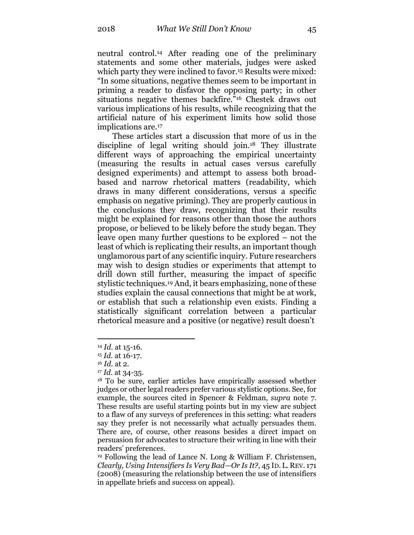neutral control.<sup>14</sup> After reading one of the preliminary statements and some other materials, judges were asked which party they were inclined to favor.<sup>15</sup> Results were mixed: "In some situations, negative themes seem to be important in priming a reader to disfavor the opposing party; in other situations negative themes backfire."<sup>16</sup> Chestek draws out various implications of his results, while recognizing that the artificial nature of his experiment limits how solid those implications are.<sup>17</sup>

These articles start a discussion that more of us in the discipline of legal writing should join.<sup>18</sup> They illustrate different ways of approaching the empirical uncertainty (measuring the results in actual cases versus carefully designed experiments) and attempt to assess both broadbased and narrow rhetorical matters (readability, which draws in many different considerations, versus a specific emphasis on negative priming). They are properly cautious in the conclusions they draw, recognizing that their results might be explained for reasons other than those the authors propose, or believed to be likely before the study began. They leave open many further questions to be explored – not the least of which is replicating their results, an important though unglamorous part of any scientific inquiry. Future researchers may wish to design studies or experiments that attempt to drill down still further, measuring the impact of specific stylistic techniques.<sup>19</sup> And, it bears emphasizing, none of these studies explain the causal connections that might be at work, or establish that such a relationship even exists. Finding a statistically significant correlation between a particular rhetorical measure and a positive (or negative) result doesn't

<sup>14</sup> *Id.* at 15-16.

<sup>15</sup> *Id.* at 16-17.

<sup>16</sup> *Id.* at 2.

<sup>17</sup> *Id.* at 34-35.

<sup>18</sup> To be sure, earlier articles have empirically assessed whether judges or other legal readers prefer various stylistic options. See, for example, the sources cited in Spencer & Feldman, *supra* note 7. These results are useful starting points but in my view are subject to a flaw of any surveys of preferences in this setting: what readers say they prefer is not necessarily what actually persuades them. There are, of course, other reasons besides a direct impact on persuasion for advocates to structure their writing in line with their readers' preferences.

<sup>19</sup> Following the lead of Lance N. Long & William F. Christensen, *Clearly, Using Intensifiers Is Very Bad—Or Is It?*, 45 ID. L. REV. 171 (2008) (measuring the relationship between the use of intensifiers in appellate briefs and success on appeal).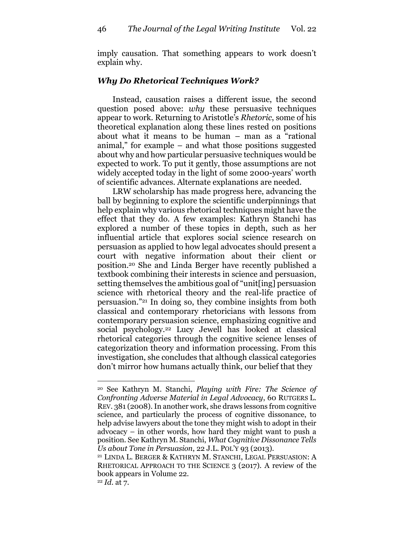imply causation. That something appears to work doesn't explain why.

#### *Why Do Rhetorical Techniques Work?*

Instead, causation raises a different issue, the second question posed above: *why* these persuasive techniques appear to work. Returning to Aristotle's *Rhetoric*, some of his theoretical explanation along these lines rested on positions about what it means to be human – man as a "rational animal," for example – and what those positions suggested about why and how particular persuasive techniques would be expected to work. To put it gently, those assumptions are not widely accepted today in the light of some 2000-years' worth of scientific advances. Alternate explanations are needed.

LRW scholarship has made progress here, advancing the ball by beginning to explore the scientific underpinnings that help explain why various rhetorical techniques might have the effect that they do. A few examples: Kathryn Stanchi has explored a number of these topics in depth, such as her influential article that explores social science research on persuasion as applied to how legal advocates should present a court with negative information about their client or position.<sup>20</sup> She and Linda Berger have recently published a textbook combining their interests in science and persuasion, setting themselves the ambitious goal of "unit[ing] persuasion science with rhetorical theory and the real-life practice of persuasion." <sup>21</sup> In doing so, they combine insights from both classical and contemporary rhetoricians with lessons from contemporary persuasion science, emphasizing cognitive and social psychology.<sup>22</sup> Lucy Jewell has looked at classical rhetorical categories through the cognitive science lenses of categorization theory and information processing. From this investigation, she concludes that although classical categories don't mirror how humans actually think, our belief that they

<sup>20</sup> See Kathryn M. Stanchi, *Playing with Fire: The Science of Confronting Adverse Material in Legal Advocacy*, 60 RUTGERS L. REV. 381 (2008). In another work, she draws lessons from cognitive science, and particularly the process of cognitive dissonance, to help advise lawyers about the tone they might wish to adopt in their advocacy – in other words, how hard they might want to push a position. See Kathryn M. Stanchi, *What Cognitive Dissonance Tells Us about Tone in Persuasion*, 22 J.L. POL'Y 93 (2013).

<sup>21</sup> LINDA L. BERGER & KATHRYN M. STANCHI, LEGAL PERSUASION: A RHETORICAL APPROACH TO THE SCIENCE 3 (2017). A review of the book appears in Volume 22.

<sup>22</sup> *Id.* at 7.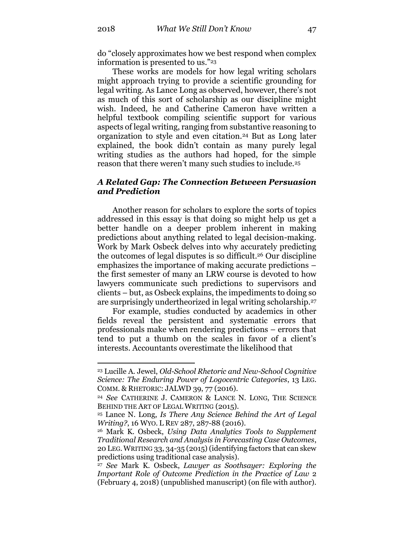do "closely approximates how we best respond when complex information is presented to us."<sup>23</sup>

These works are models for how legal writing scholars might approach trying to provide a scientific grounding for legal writing. As Lance Long as observed, however, there's not as much of this sort of scholarship as our discipline might wish. Indeed, he and Catherine Cameron have written a helpful textbook compiling scientific support for various aspects of legal writing, ranging from substantive reasoning to organization to style and even citation.<sup>24</sup> But as Long later explained, the book didn't contain as many purely legal writing studies as the authors had hoped, for the simple reason that there weren't many such studies to include.<sup>25</sup>

#### *A Related Gap: The Connection Between Persuasion and Prediction*

Another reason for scholars to explore the sorts of topics addressed in this essay is that doing so might help us get a better handle on a deeper problem inherent in making predictions about anything related to legal decision-making. Work by Mark Osbeck delves into why accurately predicting the outcomes of legal disputes is so difficult.<sup>26</sup> Our discipline emphasizes the importance of making accurate predictions – the first semester of many an LRW course is devoted to how lawyers communicate such predictions to supervisors and clients – but, as Osbeck explains, the impediments to doing so are surprisingly undertheorized in legal writing scholarship.<sup>27</sup>

For example, studies conducted by academics in other fields reveal the persistent and systematic errors that professionals make when rendering predictions – errors that tend to put a thumb on the scales in favor of a client's interests. Accountants overestimate the likelihood that

<sup>23</sup> Lucille A. Jewel, *Old-School Rhetoric and New-School Cognitive Science: The Enduring Power of Logocentric Categories*, 13 LEG. COMM. & RHETORIC: JALWD 39, 77 (2016).

<sup>24</sup> *See* CATHERINE J. CAMERON & LANCE N. LONG, THE SCIENCE BEHIND THE ART OF LEGAL WRITING (2015).

<sup>25</sup> Lance N. Long, *Is There Any Science Behind the Art of Legal Writing?*, 16 WYO. L REV 287, 287-88 (2016).

<sup>26</sup> Mark K. Osbeck, *Using Data Analytics Tools to Supplement Traditional Research and Analysis in Forecasting Case Outcomes*, 20 LEG.WRITING 33, 34-35 (2015) (identifying factors that can skew predictions using traditional case analysis).

<sup>27</sup> *See* Mark K. Osbeck, *Lawyer as Soothsayer: Exploring the Important Role of Outcome Prediction in the Practice of Law* 2 (February 4, 2018) (unpublished manuscript) (on file with author).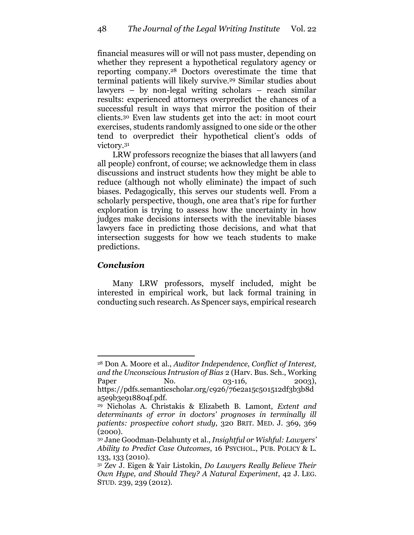financial measures will or will not pass muster, depending on whether they represent a hypothetical regulatory agency or reporting company.<sup>28</sup> Doctors overestimate the time that terminal patients will likely survive.<sup>29</sup> Similar studies about lawyers – by non-legal writing scholars – reach similar results: experienced attorneys overpredict the chances of a successful result in ways that mirror the position of their clients.<sup>30</sup> Even law students get into the act: in moot court exercises, students randomly assigned to one side or the other tend to overpredict their hypothetical client's odds of victory.<sup>31</sup>

LRW professors recognize the biases that all lawyers (and all people) confront, of course; we acknowledge them in class discussions and instruct students how they might be able to reduce (although not wholly eliminate) the impact of such biases. Pedagogically, this serves our students well. From a scholarly perspective, though, one area that's ripe for further exploration is trying to assess how the uncertainty in how judges make decisions intersects with the inevitable biases lawyers face in predicting those decisions, and what that intersection suggests for how we teach students to make predictions.

### *Conclusion*

 $\overline{a}$ 

Many LRW professors, myself included, might be interested in empirical work, but lack formal training in conducting such research. As Spencer says, empirical research

<sup>28</sup> Don A. Moore et al., *Auditor Independence, Conflict of Interest, and the Unconscious Intrusion of Bias* 2 (Harv. Bus. Sch., Working Paper No. 03-116, 2003), https://pdfs.semanticscholar.org/c926/76e2a15c501512df3b3b8d a5e9b3e918804f.pdf.

<sup>29</sup> Nicholas A. Christakis & Elizabeth B. Lamont, *Extent and determinants of error in doctors' prognoses in terminally ill patients: prospective cohort study*, 320 BRIT. MED. J. 369, 369 (2000).

<sup>30</sup> Jane Goodman-Delahunty et al., *Insightful or Wishful: Lawyers' Ability to Predict Case Outcomes*, 16 PSYCHOL., PUB. POLICY & L. 133, 133 (2010).

<sup>31</sup> Zev J. Eigen & Yair Listokin, *Do Lawyers Really Believe Their Own Hype, and Should They? A Natural Experiment*, 42 J. LEG. STUD. 239, 239 (2012).